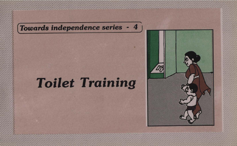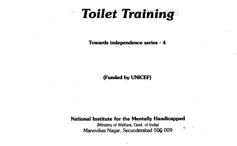# **Toilet Training**

Towards independence series -4

(Funded by UNICEF)

National Institute for the Mentally Handicapped

(Ministry of Welfare, Govt. of India) Manovikas Nagar, Secunderabad 50Q 009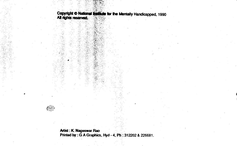Copyright © National **Enstitute** for the Mentally Handicapped, 1990<br>All rights reserved.

• •c•

• j•••



Mist: K. Nageswar Rao Printed by : G A Graphics, Hyd - 4, Ph : 312202 & 226681.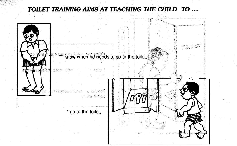# TOILET TRAINING AIMS AT TEACHING THE CHILD TO ....

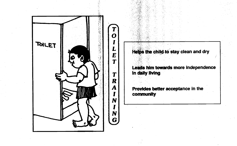

Helps the child to stay clean and dry

Leads him towards more independence In daily living

Provides better acceptance in the community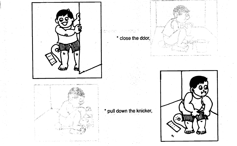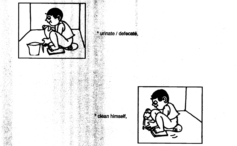

urinate / defecate,

\* clean himself,

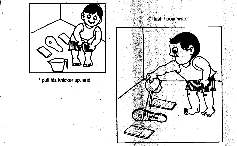

# *f flush / pour water* Gw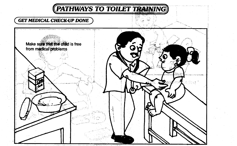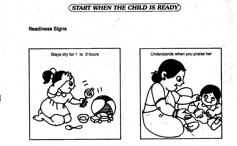**START WHEN THE CHILD IS READY** 

# **Readiness Signs**



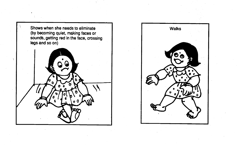

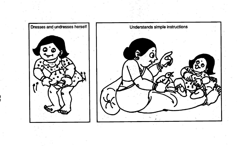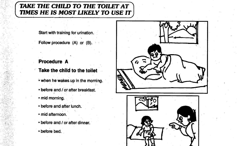# TAKE THE CHILD TO THE TOILET AT TIMES HE IS MOST LIKELY TO USE IT

Start with training for urination.

Follow procedure (A) or (B).

# Procedure A

- Take the child to the toilet
- when he wakes up in the morning.
- before and / or after breakfast.
- mid morning.
- before and after lunch.
- mid afternoon.
- before and / or after dinner.
- before bed.

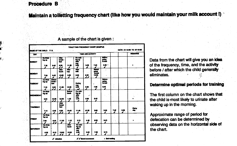### Procedure B

Maintain a toiletting frequency chart (like how you would maintain your milk account !)

| <b>BAME OF THE CHILD: P.S.</b> |                      |                                       |                                    |                              | TOILETTING FREQUENCY CHART (SAMPLE)           |            |                                  |                                     |         |           | DATE: 01-10-00 TO 07-10-00 |
|--------------------------------|----------------------|---------------------------------------|------------------------------------|------------------------------|-----------------------------------------------|------------|----------------------------------|-------------------------------------|---------|-----------|----------------------------|
| <b>DAY</b>                     | TIME AND ACTIVITY    |                                       |                                    |                              |                                               |            |                                  |                                     |         |           | <b>REMARKS</b>             |
| AV.<br><b>BUNDAY</b>           | $G_0$ Webs<br>ing up |                                       | Nu<br>break-<br>fant !             |                              | <b>Company</b><br>ing up<br>á.                |            |                                  | <b>Before</b><br>وطمو<br><b>SIM</b> |         |           |                            |
|                                | 7.35<br>s            | 840<br>◢                              | 9.55<br>-                          | 11.05                        | 誋<br>J                                        | 5.35<br>◢  | 7.40                             | 9.35 *<br>◢                         |         |           |                            |
| <b>MONDAY</b>                  |                      |                                       | <b>Aller</b><br>knok               | ≖<br>100                     | Albert<br>alk                                 |            | <b>Belone</b><br>geind<br>to bee | $\sim$ 2.                           |         |           | $\sim$                     |
|                                | 7.00<br>s            | 9.45<br>s                             | 12.05<br>,,                        | 3.55<br>z                    | 6.05<br>◢                                     | 4.30<br>11 | 10.05<br>◢                       |                                     |         |           |                            |
| ÷<br><b>TURBOAY</b>            | On Walk-<br>ing up   | <b>Before</b><br>break-<br><b>but</b> |                                    |                              | <b>During</b>                                 |            |                                  | Belore<br>gaing<br>in boil          |         |           |                            |
|                                | 7.15<br>s            | 0.25<br>,,                            | 11.30                              | 12.35                        | 26<br>w                                       | 5.30<br>,  | 7.35                             | 9.45<br>s                           |         |           |                            |
| WEDNESDAY                      | On Walk-<br>ing up   |                                       |                                    | <b>Before</b><br><b>Amon</b> | On wat-<br>ing to<br>بيزاء<br>$\frac{1}{400}$ |            |                                  |                                     |         |           |                            |
|                                | 6.00<br>◢            | 10.05<br>,,                           | 12.00                              | 1.45                         |                                               | 4.30<br>◢  | 8.45<br>◢                        |                                     |         |           |                            |
| <b>THURBOAY</b>                |                      |                                       | Akur<br><b>book</b><br><b>Sent</b> |                              |                                               |            |                                  |                                     |         |           | Paint                      |
|                                | 7.10                 | 8.45<br>◢                             | 9.80<br>,,                         | 10.45                        | 11.40<br>s                                    | 12.55<br>, | 3.00<br>◢                        | 5.20<br>ı                           | 7.25    | 0.00<br>, | tw                         |
| PROAT                          | Cn Walk-<br>ing to   |                                       |                                    |                              |                                               |            |                                  |                                     |         |           |                            |
|                                | 7.00<br>◢            | 9.40<br>11                            | 11.40                              | 1.10<br>J                    | 3.15<br>◢                                     | 4.45<br>◢  | 6.50                             | 8.45<br>s                           | ×<br>z. |           |                            |
| <b>BATUROAY</b>                | On Wat-<br>ing up    |                                       |                                    | $\overline{M}$<br>hmah       | Co wai-<br><b>Ing up</b><br>يرقد              |            |                                  |                                     |         |           |                            |
|                                | 6.55<br>◢            | 6.10                                  | 10.00<br>,,                        | 12.20                        | $\frac{1}{200}$                               | 5.00       | 7.55<br>,                        | 9.15                                |         |           |                            |

### A sample of the chart is given :

Data from the chart will give you an idea of the frequency, time, and the activity before / after which the child generally eliminates.

### Determine optimal periods for training

The first column on the chart shows that the child is most likely to urinate after waking up in the morning.

Approximate range of period for defecation can be determined by observing data on the horizontal side of the chart.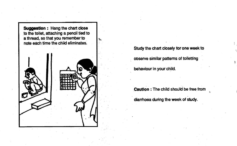**Suggestion: Hang the chart close** to the toilet, attaching a pencil tied to a thread, so that you remember to note each time the child eliminates.

ħ.



Study the chart closely for one week to observe similar patterns of toiletting behaviour in your child.

Caution : The child should be free from diarrhoea during the week of study.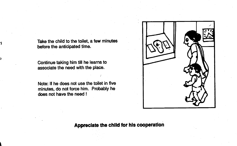Take the child to the toilet, a few minutes before the anticipated time.

Continue taking him till he learns to associate the need with the place.

Note: If he does not use the toilet in five minutes, do not force him. Probably he does not have the need !



# ApprecIate the child for his cooperation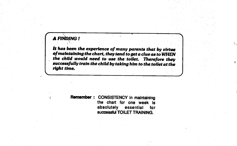# **A FINDING!**

It has been the experience of many parents that by virtue of maintaining the chart, they tend to get a clue as to WHEN the child would need to use the toilet. Therefore they successfully train the child by taking him to the toilet at the • right time.

> Remember: CONSISTENCY in maintaining the chart for one week is absolutely essential for successful TOILET TRAINING.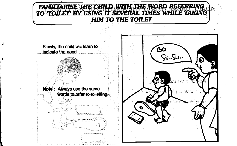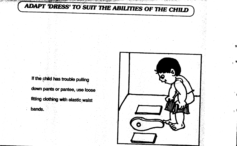ADAPT 'DRESS' TO SUIT THE ABILITIES OF THE CHILD

an salah dalam kalendar yang disebut dalam kalendar dan dan sebagai secara secara dan selasa dan secara secara

If the child has trouble pulling

down pants or pantee, use loose fitting clothing with elastic waist

bands.



せいきょう じゅうしん あてく きょうさんかい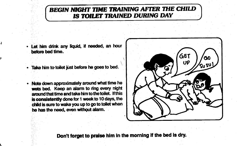# BEGIN NIGHT TIME TRAINING AFTER THE CHILD IS TOILET TRAINED DURING DAY

- Let him drink any liquid, if needed, an hour before bed time.
- Take him to toilet just before he goes to bed.
- Note down approximately around what time he wets bed. Keep an alarm to ring every night around that time and take him to the toilet. If this is consistently done for 1 week to 10 days, the child is sure to wake you up to go to toilet when he has the need, even without alarm.



Don't forget to praise him in the morning if the bed is dry.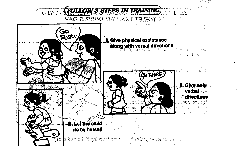

**H. Give only** verbal directions s domslerveniy of esse al blirfo n adhean eri

**Cartaina bact through** 

ikter min såld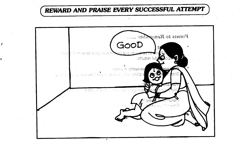# REWARD AND PRAISE EVERY SUCCESSFUL ATTEMPT

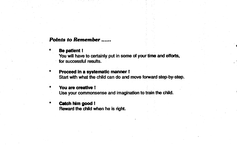# Points to Remember .

# a the patient!<br>The patient! The patient!

You will have to certainly put in some of your time and efforts, for successful resutts.

Proceed in a systematic manner! Start with what the child can do and move forward step-by-step.

### You are creative !

Use your commonsense and imagination to train the child.

**Catch him good!** I Reward the child when he is right.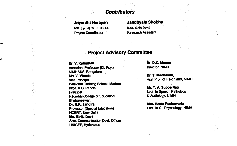# **Contributors**

M.S. (So. Ed) Ph. D., D.S. Ed. Project Coordinator Research Assistant

 $\bullet$ 

# Jayanthi Narayan Jandhyala Shobha<br>MS (So Fd Ph. D. D. S.Ed. M. M. Sc. (Child Devt.)

# Project Advisory Committee

**Dr. V. Kumarlah Dr. D.K. Menon<br>Associate Professor (CL Psv.) Director, NIMH** Associate Professor (Cl. Psy.)<br>NIMHANS, Bangalore **Ms. V. Vimala** Dr. T. Madhavan,<br>
Vice Principal Dr. T. Madhavan, Vice Principal Dr. T. Madhavan, Balavihar Training School, Madras **Prof. K.C. Panda** Mr. T. A. Subba Rao<br>Principal Mr. T. A. Subba Rao<br>Principal Mr. T. A. Subba Ratho Regional College of Education, Btaneswar. **Dr. N.K. Jangira Mrs. Reeta Peshawaria<br>
Professor (Special Education)** Lect. in Cl. Psychology, NIMH Professor (Special Education) NCERT, New Delhi Ms. Girlja Devl Asst. Communication Devt. Officer UNICEF, Hyderabad

Asst.Prof. of Psychiatry, NIMH

Lect. in Speech Pathology<br>& Audiology, NIMH